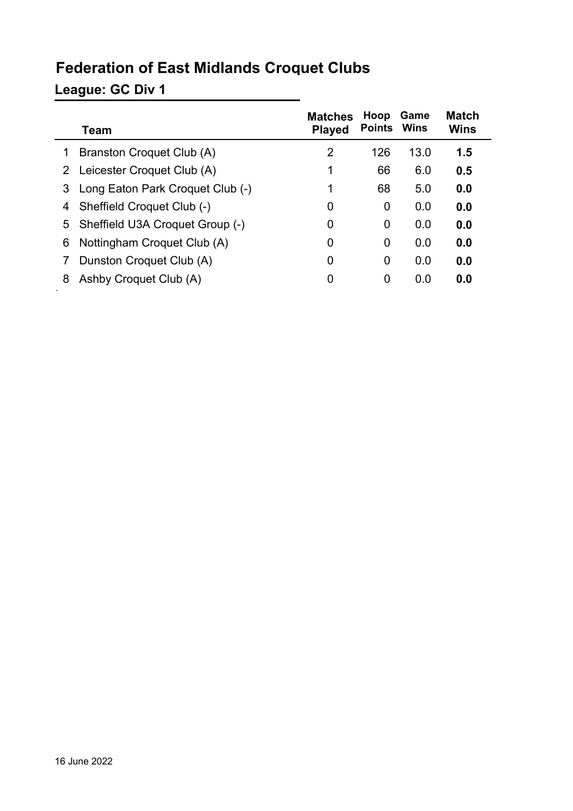## **Federation of East Midlands Croquet Clubs**

C false in the control of the control of the control of the control of the control of the control of the control of the control of the control of the control of the control of the control of the control of the control of t

## **League: GC Div 1**

|   | Team                             | <b>Matches</b><br><b>Played</b> | Hoop<br><b>Points</b> | Game<br>Wins | Match<br><b>Wins</b> |
|---|----------------------------------|---------------------------------|-----------------------|--------------|----------------------|
| 1 | Branston Croquet Club (A)        | 2                               | 126                   | 13.0         | 1.5                  |
|   | Leicester Croquet Club (A)       |                                 | 66                    | 6.0          | 0.5                  |
| 3 | Long Eaton Park Croquet Club (-) | 1                               | 68                    | 5.0          | 0.0                  |
| 4 | Sheffield Croquet Club (-)       | 0                               | 0                     | 0.0          | 0.0                  |
| 5 | Sheffield U3A Croquet Group (-)  | 0                               | 0                     | 0.0          | 0.0                  |
| 6 | Nottingham Croquet Club (A)      | 0                               | 0                     | 0.0          | 0.0                  |
|   | Dunston Croquet Club (A)         | 0                               | 0                     | 0.0          | 0.0                  |
| 8 | Ashby Croquet Club (A)           | 0                               | 0                     | 0.0          | 0.0                  |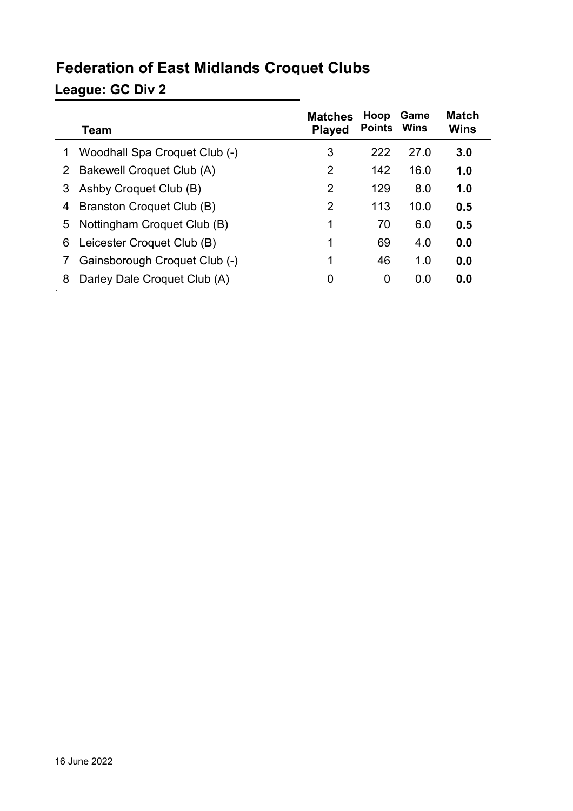# **Federation of East Midlands Croquet Clubs**

C false in the control of the control of the control of the control of the control of the control of the control of the control of the control of the control of the control of the control of the control of the control of t

#### **League: GC Div 2**

|                       | Team                          | <b>Matches</b><br><b>Played</b> | Hoop<br><b>Points</b> | Game<br>Wins | <b>Match</b><br>Wins |
|-----------------------|-------------------------------|---------------------------------|-----------------------|--------------|----------------------|
| $\mathbf 1$           | Woodhall Spa Croquet Club (-) | 3                               | 222                   | 27.0         | 3.0                  |
| $\mathbf{2}^{\prime}$ | Bakewell Croquet Club (A)     | 2                               | 142                   | 16.0         | 1.0                  |
| 3                     | Ashby Croquet Club (B)        | 2                               | 129                   | 8.0          | 1.0                  |
| 4                     | Branston Croquet Club (B)     | 2                               | 113                   | 10.0         | 0.5                  |
| 5                     | Nottingham Croquet Club (B)   | 1                               | 70                    | 6.0          | 0.5                  |
| 6                     | Leicester Croquet Club (B)    | 1                               | 69                    | 4.0          | 0.0                  |
|                       | Gainsborough Croquet Club (-) | 1                               | 46                    | 1.0          | 0.0                  |
| 8                     | Darley Dale Croquet Club (A)  | 0                               | 0                     | 0.0          | 0.0                  |